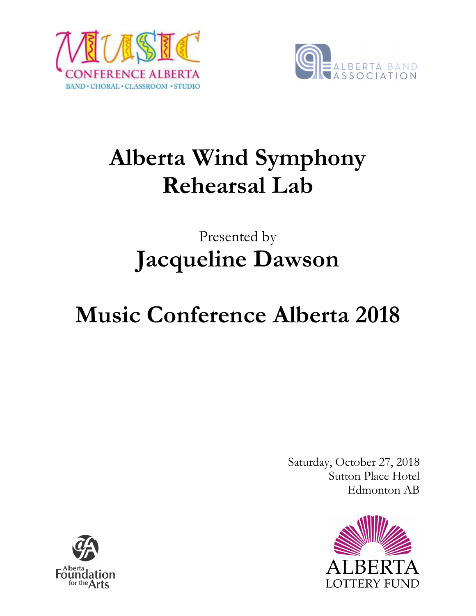



# **Alberta Wind Symphony Rehearsal Lab**

## Presented by **Jacqueline Dawson**

# **Music Conference Alberta 2018**

Saturday, October 27, 2018 Sutton Place Hotel Edmonton AB



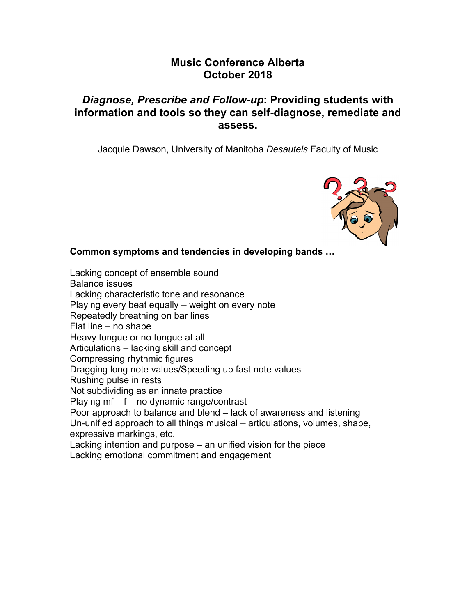#### **Music Conference Alberta October 2018**

### *Diagnose, Prescribe and Follow-up***: Providing students with information and tools so they can self-diagnose, remediate and assess.**

Jacquie Dawson, University of Manitoba *Desautels* Faculty of Music



#### **Common symptoms and tendencies in developing bands …**

Lacking concept of ensemble sound Balance issues Lacking characteristic tone and resonance Playing every beat equally – weight on every note Repeatedly breathing on bar lines Flat line – no shape Heavy tongue or no tongue at all Articulations – lacking skill and concept Compressing rhythmic figures Dragging long note values/Speeding up fast note values Rushing pulse in rests Not subdividing as an innate practice Playing mf – f – no dynamic range/contrast Poor approach to balance and blend – lack of awareness and listening Un-unified approach to all things musical – articulations, volumes, shape, expressive markings, etc. Lacking intention and purpose – an unified vision for the piece Lacking emotional commitment and engagement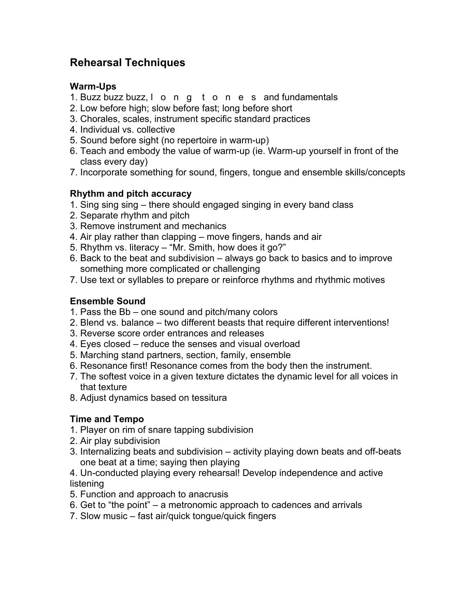### **Rehearsal Techniques**

#### **Warm-Ups**

- 1. Buzz buzz buzz, l o n g t o n e s and fundamentals
- 2. Low before high; slow before fast; long before short
- 3. Chorales, scales, instrument specific standard practices
- 4. Individual vs. collective
- 5. Sound before sight (no repertoire in warm-up)
- 6. Teach and embody the value of warm-up (ie. Warm-up yourself in front of the class every day)
- 7. Incorporate something for sound, fingers, tongue and ensemble skills/concepts

#### **Rhythm and pitch accuracy**

- 1. Sing sing sing there should engaged singing in every band class
- 2. Separate rhythm and pitch
- 3. Remove instrument and mechanics
- 4. Air play rather than clapping move fingers, hands and air
- 5. Rhythm vs. literacy "Mr. Smith, how does it go?"
- 6. Back to the beat and subdivision always go back to basics and to improve something more complicated or challenging
- 7. Use text or syllables to prepare or reinforce rhythms and rhythmic motives

#### **Ensemble Sound**

- 1. Pass the Bb one sound and pitch/many colors
- 2. Blend vs. balance two different beasts that require different interventions!
- 3. Reverse score order entrances and releases
- 4. Eyes closed reduce the senses and visual overload
- 5. Marching stand partners, section, family, ensemble
- 6. Resonance first! Resonance comes from the body then the instrument.
- 7. The softest voice in a given texture dictates the dynamic level for all voices in that texture
- 8. Adjust dynamics based on tessitura

#### **Time and Tempo**

- 1. Player on rim of snare tapping subdivision
- 2. Air play subdivision
- 3. Internalizing beats and subdivision activity playing down beats and off-beats one beat at a time; saying then playing
- 4. Un-conducted playing every rehearsal! Develop independence and active listening
- 5. Function and approach to anacrusis
- 6. Get to "the point" a metronomic approach to cadences and arrivals
- 7. Slow music fast air/quick tongue/quick fingers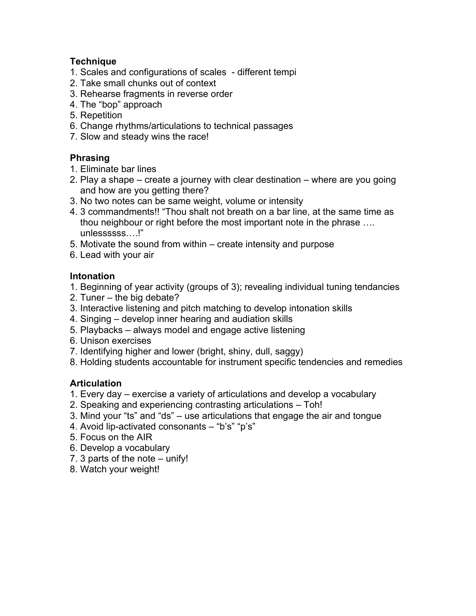#### **Technique**

- 1. Scales and configurations of scales different tempi
- 2. Take small chunks out of context
- 3. Rehearse fragments in reverse order
- 4. The "bop" approach
- 5. Repetition
- 6. Change rhythms/articulations to technical passages
- 7. Slow and steady wins the race!

#### **Phrasing**

- 1. Eliminate bar lines
- 2. Play a shape create a journey with clear destination where are you going and how are you getting there?
- 3. No two notes can be same weight, volume or intensity
- 4. 3 commandments!! "Thou shalt not breath on a bar line, at the same time as thou neighbour or right before the most important note in the phrase …. unlessssss….!"
- 5. Motivate the sound from within create intensity and purpose
- 6. Lead with your air

#### **Intonation**

- 1. Beginning of year activity (groups of 3); revealing individual tuning tendancies
- 2. Tuner the big debate?
- 3. Interactive listening and pitch matching to develop intonation skills
- 4. Singing develop inner hearing and audiation skills
- 5. Playbacks always model and engage active listening
- 6. Unison exercises
- 7. Identifying higher and lower (bright, shiny, dull, saggy)
- 8. Holding students accountable for instrument specific tendencies and remedies

#### **Articulation**

- 1. Every day exercise a variety of articulations and develop a vocabulary
- 2. Speaking and experiencing contrasting articulations Toh!
- 3. Mind your "ts" and "ds" use articulations that engage the air and tongue
- 4. Avoid lip-activated consonants "b's" "p's"
- 5. Focus on the AIR
- 6. Develop a vocabulary
- 7. 3 parts of the note unify!
- 8. Watch your weight!